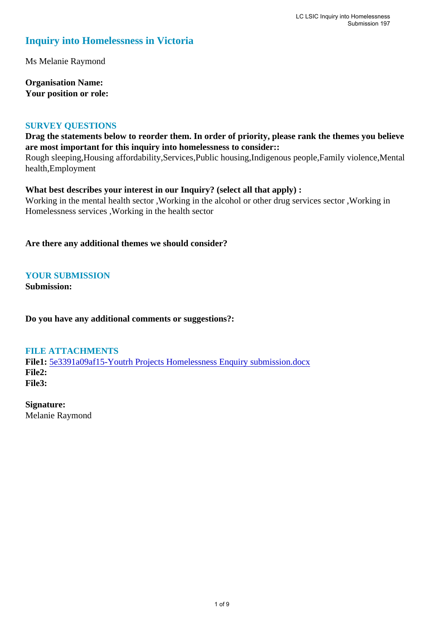# **Inquiry into Homelessness in Victoria**

Ms Melanie Raymond

**Organisation Name: Your position or role:** 

#### **SURVEY QUESTIONS**

# **Drag the statements below to reorder them. In order of priority, please rank the themes you believe are most important for this inquiry into homelessness to consider::**

Rough sleeping,Housing affordability,Services,Public housing,Indigenous people,Family violence,Mental health,Employment

## **What best describes your interest in our Inquiry? (select all that apply) :**

Working in the mental health sector ,Working in the alcohol or other drug services sector ,Working in Homelessness services ,Working in the health sector

**Are there any additional themes we should consider?**

# **YOUR SUBMISSION**

**Submission:** 

**Do you have any additional comments or suggestions?:** 

## **FILE ATTACHMENTS**

**File1:** 5e3391a09af15-Youtrh Projects Homelessness Enquiry submission.docx **File2: File3:** 

**Signature:** Melanie Raymond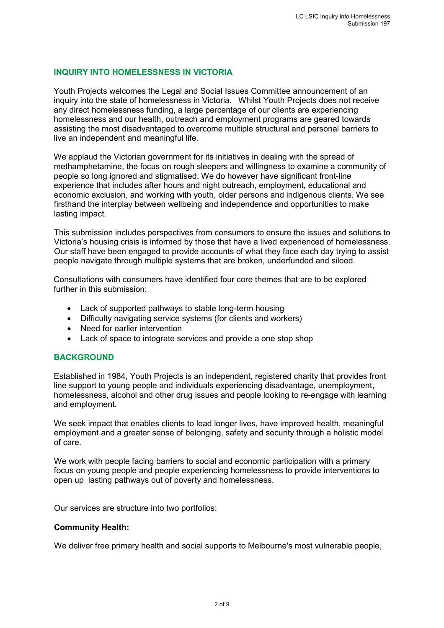# **INQUIRY INTO HOMELESSNESS IN VICTORIA**

Youth Projects welcomes the Legal and Social Issues Committee announcement of an inquiry into the state of homelessness in Victoria. Whilst Youth Projects does not receive any direct homelessness funding, a large percentage of our clients are experiencing homelessness and our health, outreach and employment programs are geared towards assisting the most disadvantaged to overcome multiple structural and personal barriers to live an independent and meaningful life.

We applaud the Victorian government for its initiatives in dealing with the spread of methamphetamine, the focus on rough sleepers and willingness to examine a community of people so long ignored and stigmatised. We do however have significant front-line experience that includes after hours and night outreach, employment, educational and economic exclusion, and working with youth, older persons and indigenous clients. We see firsthand the interplay between wellbeing and independence and opportunities to make lasting impact.

This submission includes perspectives from consumers to ensure the issues and solutions to Victoria's housing crisis is informed by those that have a lived experienced of homelessness. Our staff have been engaged to provide accounts of what they face each day trying to assist people navigate through multiple systems that are broken, underfunded and siloed.

Consultations with consumers have identified four core themes that are to be explored further in this submission:

- Lack of supported pathways to stable long-term housing
- Difficulty navigating service systems (for clients and workers)
- Need for earlier intervention
- Lack of space to integrate services and provide a one stop shop

## **BACKGROUND**

Established in 1984, Youth Projects is an independent, registered charity that provides front line support to young people and individuals experiencing disadvantage, unemployment, homelessness, alcohol and other drug issues and people looking to re-engage with learning and employment.

We seek impact that enables clients to lead longer lives, have improved health, meaningful employment and a greater sense of belonging, safety and security through a holistic model of care.

We work with people facing barriers to social and economic participation with a primary focus on young people and people experiencing homelessness to provide interventions to open up lasting pathways out of poverty and homelessness.

Our services are structure into two portfolios:

#### **Community Health:**

We deliver free primary health and social supports to Melbourne's most vulnerable people,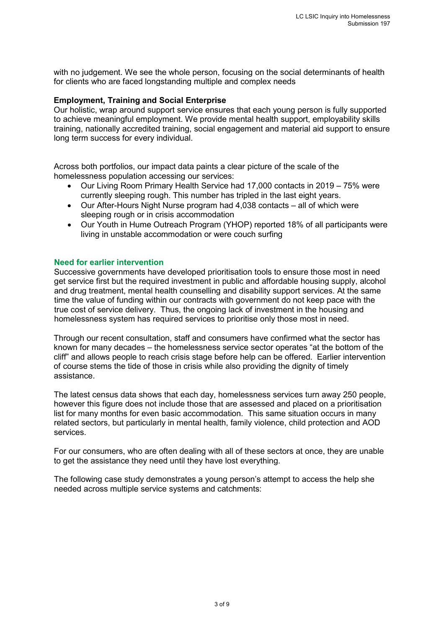with no judgement. We see the whole person, focusing on the social determinants of health for clients who are faced longstanding multiple and complex needs

#### **Employment, Training and Social Enterprise**

Our holistic, wrap around support service ensures that each young person is fully supported to achieve meaningful employment. We provide mental health support, employability skills training, nationally accredited training, social engagement and material aid support to ensure long term success for every individual.

Across both portfolios, our impact data paints a clear picture of the scale of the homelessness population accessing our services:

- Our Living Room Primary Health Service had 17,000 contacts in 2019 75% were currently sleeping rough. This number has tripled in the last eight years.
- Our After-Hours Night Nurse program had 4,038 contacts all of which were sleeping rough or in crisis accommodation
- Our Youth in Hume Outreach Program (YHOP) reported 18% of all participants were living in unstable accommodation or were couch surfing

#### **Need for earlier intervention**

Successive governments have developed prioritisation tools to ensure those most in need get service first but the required investment in public and affordable housing supply, alcohol and drug treatment, mental health counselling and disability support services. At the same time the value of funding within our contracts with government do not keep pace with the true cost of service delivery. Thus, the ongoing lack of investment in the housing and homelessness system has required services to prioritise only those most in need.

Through our recent consultation, staff and consumers have confirmed what the sector has known for many decades – the homelessness service sector operates "at the bottom of the cliff" and allows people to reach crisis stage before help can be offered. Earlier intervention of course stems the tide of those in crisis while also providing the dignity of timely assistance.

The latest census data shows that each day, homelessness services turn away 250 people, however this figure does not include those that are assessed and placed on a prioritisation list for many months for even basic accommodation. This same situation occurs in many related sectors, but particularly in mental health, family violence, child protection and AOD services.

For our consumers, who are often dealing with all of these sectors at once, they are unable to get the assistance they need until they have lost everything.

The following case study demonstrates a young person's attempt to access the help she needed across multiple service systems and catchments: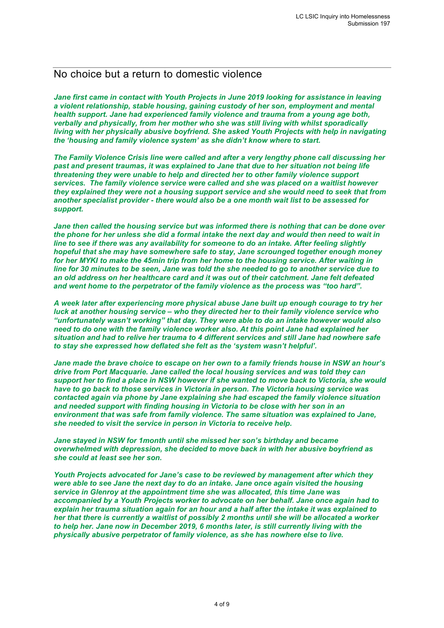# No choice but a return to domestic violence

*Jane first came in contact with Youth Projects in June 2019 looking for assistance in leaving a violent relationship, stable housing, gaining custody of her son, employment and mental health support. Jane had experienced family violence and trauma from a young age both, verbally and physically, from her mother who she was still living with whilst sporadically living with her physically abusive boyfriend. She asked Youth Projects with help in navigating the 'housing and family violence system' as she didn't know where to start.*

*The Family Violence Crisis line were called and after a very lengthy phone call discussing her past and present traumas, it was explained to Jane that due to her situation not being life threatening they were unable to help and directed her to other family violence support services. The family violence service were called and she was placed on a waitlist however they explained they were not a housing support service and she would need to seek that from another specialist provider - there would also be a one month wait list to be assessed for support.* 

*Jane then called the housing service but was informed there is nothing that can be done over the phone for her unless she did a formal intake the next day and would then need to wait in line to see if there was any availability for someone to do an intake. After feeling slightly hopeful that she may have somewhere safe to stay, Jane scrounged together enough money for her MYKI to make the 45min trip from her home to the housing service. After waiting in line for 30 minutes to be seen, Jane was told the she needed to go to another service due to an old address on her healthcare card and it was out of their catchment. Jane felt defeated and went home to the perpetrator of the family violence as the process was "too hard".*

*A week later after experiencing more physical abuse Jane built up enough courage to try her luck at another housing service – who they directed her to their family violence service who "unfortunately wasn't working" that day. They were able to do an intake however would also need to do one with the family violence worker also. At this point Jane had explained her situation and had to relive her trauma to 4 different services and still Jane had nowhere safe to stay she expressed how deflated she felt as the 'system wasn't helpful'.* 

*Jane made the brave choice to escape on her own to a family friends house in NSW an hour's drive from Port Macquarie. Jane called the local housing services and was told they can support her to find a place in NSW however if she wanted to move back to Victoria, she would have to go back to those services in Victoria in person. The Victoria housing service was contacted again via phone by Jane explaining she had escaped the family violence situation and needed support with finding housing in Victoria to be close with her son in an environment that was safe from family violence. The same situation was explained to Jane, she needed to visit the service in person in Victoria to receive help.*

*Jane stayed in NSW for 1month until she missed her son's birthday and became overwhelmed with depression, she decided to move back in with her abusive boyfriend as she could at least see her son.* 

*Youth Projects advocated for Jane's case to be reviewed by management after which they were able to see Jane the next day to do an intake. Jane once again visited the housing service in Glenroy at the appointment time she was allocated, this time Jane was accompanied by a Youth Projects worker to advocate on her behalf. Jane once again had to explain her trauma situation again for an hour and a half after the intake it was explained to her that there is currently a waitlist of possibly 2 months until she will be allocated a worker to help her. Jane now in December 2019, 6 months later, is still currently living with the physically abusive perpetrator of family violence, as she has nowhere else to live.*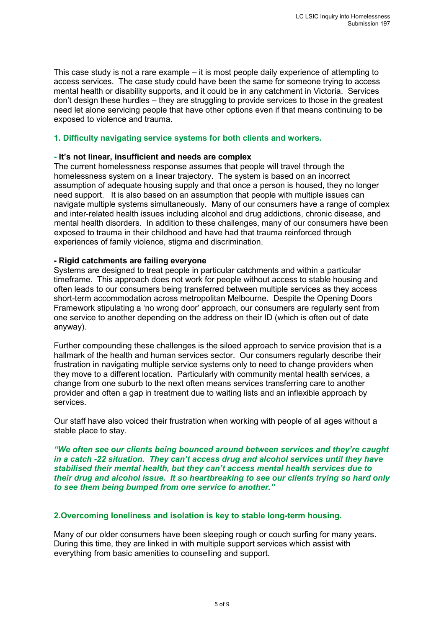This case study is not a rare example – it is most people daily experience of attempting to access services. The case study could have been the same for someone trying to access mental health or disability supports, and it could be in any catchment in Victoria. Services don't design these hurdles – they are struggling to provide services to those in the greatest need let alone servicing people that have other options even if that means continuing to be exposed to violence and trauma.

## **1. Difficulty navigating service systems for both clients and workers.**

#### **- It's not linear, insufficient and needs are complex**

The current homelessness response assumes that people will travel through the homelessness system on a linear trajectory. The system is based on an incorrect assumption of adequate housing supply and that once a person is housed, they no longer need support. It is also based on an assumption that people with multiple issues can navigate multiple systems simultaneously. Many of our consumers have a range of complex and inter-related health issues including alcohol and drug addictions, chronic disease, and mental health disorders. In addition to these challenges, many of our consumers have been exposed to trauma in their childhood and have had that trauma reinforced through experiences of family violence, stigma and discrimination.

#### **- Rigid catchments are failing everyone**

Systems are designed to treat people in particular catchments and within a particular timeframe. This approach does not work for people without access to stable housing and often leads to our consumers being transferred between multiple services as they access short-term accommodation across metropolitan Melbourne. Despite the Opening Doors Framework stipulating a 'no wrong door' approach, our consumers are regularly sent from one service to another depending on the address on their ID (which is often out of date anyway).

Further compounding these challenges is the siloed approach to service provision that is a hallmark of the health and human services sector. Our consumers regularly describe their frustration in navigating multiple service systems only to need to change providers when they move to a different location. Particularly with community mental health services, a change from one suburb to the next often means services transferring care to another provider and often a gap in treatment due to waiting lists and an inflexible approach by services.

Our staff have also voiced their frustration when working with people of all ages without a stable place to stay.

*"We often see our clients being bounced around between services and they're caught in a catch -22 situation. They can't access drug and alcohol services until they have stabilised their mental health, but they can't access mental health services due to their drug and alcohol issue. It so heartbreaking to see our clients trying so hard only to see them being bumped from one service to another."*

## **2.Overcoming loneliness and isolation is key to stable long-term housing.**

Many of our older consumers have been sleeping rough or couch surfing for many years. During this time, they are linked in with multiple support services which assist with everything from basic amenities to counselling and support.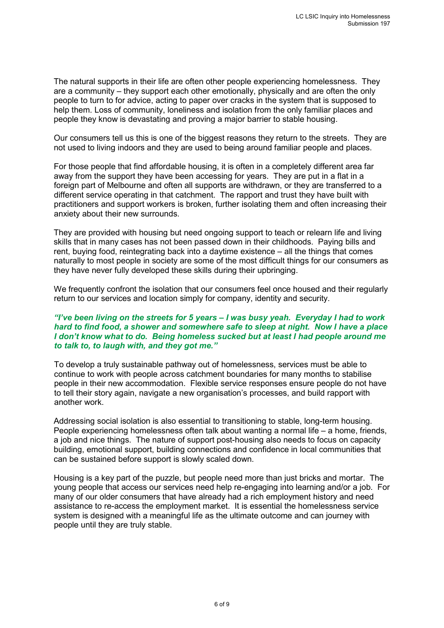The natural supports in their life are often other people experiencing homelessness. They are a community – they support each other emotionally, physically and are often the only people to turn to for advice, acting to paper over cracks in the system that is supposed to help them. Loss of community, loneliness and isolation from the only familiar places and people they know is devastating and proving a major barrier to stable housing.

Our consumers tell us this is one of the biggest reasons they return to the streets. They are not used to living indoors and they are used to being around familiar people and places.

For those people that find affordable housing, it is often in a completely different area far away from the support they have been accessing for years. They are put in a flat in a foreign part of Melbourne and often all supports are withdrawn, or they are transferred to a different service operating in that catchment. The rapport and trust they have built with practitioners and support workers is broken, further isolating them and often increasing their anxiety about their new surrounds.

They are provided with housing but need ongoing support to teach or relearn life and living skills that in many cases has not been passed down in their childhoods. Paying bills and rent, buying food, reintegrating back into a daytime existence – all the things that comes naturally to most people in society are some of the most difficult things for our consumers as they have never fully developed these skills during their upbringing.

We frequently confront the isolation that our consumers feel once housed and their regularly return to our services and location simply for company, identity and security.

#### *"I've been living on the streets for 5 years – I was busy yeah. Everyday I had to work hard to find food, a shower and somewhere safe to sleep at night. Now I have a place I don't know what to do. Being homeless sucked but at least I had people around me to talk to, to laugh with, and they got me."*

To develop a truly sustainable pathway out of homelessness, services must be able to continue to work with people across catchment boundaries for many months to stabilise people in their new accommodation. Flexible service responses ensure people do not have to tell their story again, navigate a new organisation's processes, and build rapport with another work.

Addressing social isolation is also essential to transitioning to stable, long-term housing. People experiencing homelessness often talk about wanting a normal life – a home, friends, a job and nice things. The nature of support post-housing also needs to focus on capacity building, emotional support, building connections and confidence in local communities that can be sustained before support is slowly scaled down.

Housing is a key part of the puzzle, but people need more than just bricks and mortar. The young people that access our services need help re-engaging into learning and/or a job. For many of our older consumers that have already had a rich employment history and need assistance to re-access the employment market. It is essential the homelessness service system is designed with a meaningful life as the ultimate outcome and can journey with people until they are truly stable.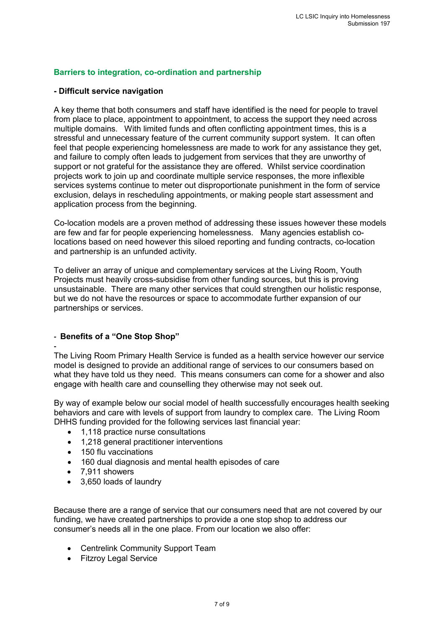# **Barriers to integration, co-ordination and partnership**

#### **- Difficult service navigation**

A key theme that both consumers and staff have identified is the need for people to travel from place to place, appointment to appointment, to access the support they need across multiple domains. With limited funds and often conflicting appointment times, this is a stressful and unnecessary feature of the current community support system. It can often feel that people experiencing homelessness are made to work for any assistance they get, and failure to comply often leads to judgement from services that they are unworthy of support or not grateful for the assistance they are offered. Whilst service coordination projects work to join up and coordinate multiple service responses, the more inflexible services systems continue to meter out disproportionate punishment in the form of service exclusion, delays in rescheduling appointments, or making people start assessment and application process from the beginning.

Co-location models are a proven method of addressing these issues however these models are few and far for people experiencing homelessness. Many agencies establish colocations based on need however this siloed reporting and funding contracts, co-location and partnership is an unfunded activity.

To deliver an array of unique and complementary services at the Living Room, Youth Projects must heavily cross-subsidise from other funding sources, but this is proving unsustainable. There are many other services that could strengthen our holistic response, but we do not have the resources or space to accommodate further expansion of our partnerships or services.

## **- Benefits of a "One Stop Shop"**

**-** The Living Room Primary Health Service is funded as a health service however our service model is designed to provide an additional range of services to our consumers based on what they have told us they need. This means consumers can come for a shower and also engage with health care and counselling they otherwise may not seek out.

By way of example below our social model of health successfully encourages health seeking behaviors and care with levels of support from laundry to complex care. The Living Room DHHS funding provided for the following services last financial year:

- 1,118 practice nurse consultations
- 1,218 general practitioner interventions
- 150 flu vaccinations
- 160 dual diagnosis and mental health episodes of care
- 7,911 showers
- 3,650 loads of laundry

Because there are a range of service that our consumers need that are not covered by our funding, we have created partnerships to provide a one stop shop to address our consumer's needs all in the one place. From our location we also offer:

- Centrelink Community Support Team
- Fitzroy Legal Service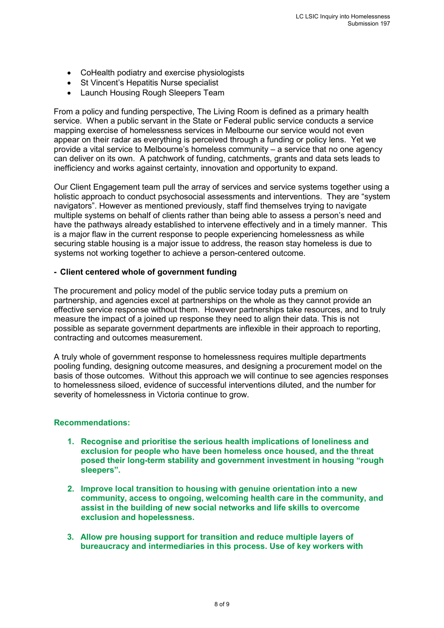- CoHealth podiatry and exercise physiologists
- St Vincent's Hepatitis Nurse specialist
- Launch Housing Rough Sleepers Team

From a policy and funding perspective, The Living Room is defined as a primary health service. When a public servant in the State or Federal public service conducts a service mapping exercise of homelessness services in Melbourne our service would not even appear on their radar as everything is perceived through a funding or policy lens. Yet we provide a vital service to Melbourne's homeless community – a service that no one agency can deliver on its own. A patchwork of funding, catchments, grants and data sets leads to inefficiency and works against certainty, innovation and opportunity to expand.

Our Client Engagement team pull the array of services and service systems together using a holistic approach to conduct psychosocial assessments and interventions. They are "system navigators". However as mentioned previously, staff find themselves trying to navigate multiple systems on behalf of clients rather than being able to assess a person's need and have the pathways already established to intervene effectively and in a timely manner. This is a major flaw in the current response to people experiencing homelessness as while securing stable housing is a major issue to address, the reason stay homeless is due to systems not working together to achieve a person-centered outcome.

## **- Client centered whole of government funding**

The procurement and policy model of the public service today puts a premium on partnership, and agencies excel at partnerships on the whole as they cannot provide an effective service response without them. However partnerships take resources, and to truly measure the impact of a joined up response they need to align their data. This is not possible as separate government departments are inflexible in their approach to reporting, contracting and outcomes measurement.

A truly whole of government response to homelessness requires multiple departments pooling funding, designing outcome measures, and designing a procurement model on the basis of those outcomes. Without this approach we will continue to see agencies responses to homelessness siloed, evidence of successful interventions diluted, and the number for severity of homelessness in Victoria continue to grow.

## **Recommendations:**

- **1. Recognise and prioritise the serious health implications of loneliness and exclusion for people who have been homeless once housed, and the threat posed their long-term stability and government investment in housing "rough sleepers".**
- **2. Improve local transition to housing with genuine orientation into a new community, access to ongoing, welcoming health care in the community, and assist in the building of new social networks and life skills to overcome exclusion and hopelessness.**
- **3. Allow pre housing support for transition and reduce multiple layers of bureaucracy and intermediaries in this process. Use of key workers with**